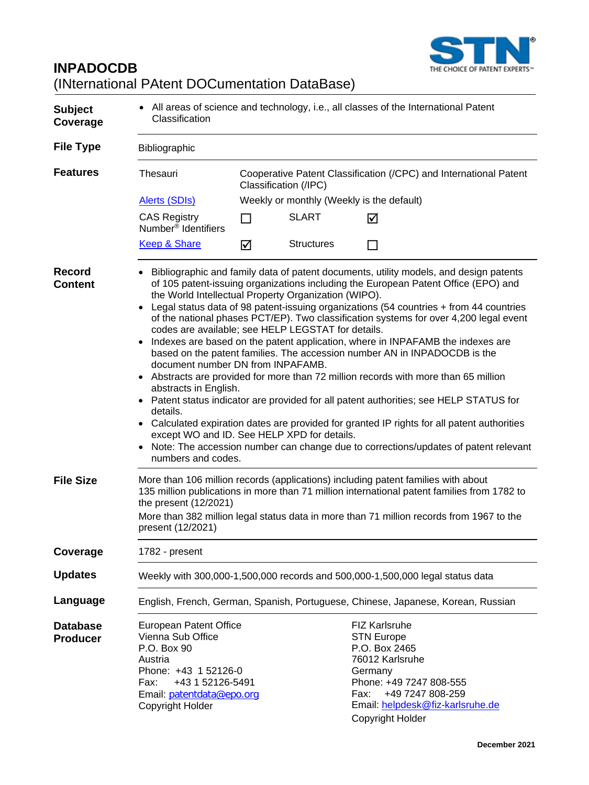

# **INPADOCDB** (INternational PAtent DOCumentation DataBase)

| <b>Subject</b><br>Coverage         | • All areas of science and technology, i.e., all classes of the International Patent<br>Classification                                                                                                                                                                                                                                                                                                                                                                                                                                                                                                                                                                                                                                                                                                                                                                                                                                                                                                                                                                                                                                                                                                          |                                                                                            |                   |                                                                                                                                                                                                         |  |  |  |
|------------------------------------|-----------------------------------------------------------------------------------------------------------------------------------------------------------------------------------------------------------------------------------------------------------------------------------------------------------------------------------------------------------------------------------------------------------------------------------------------------------------------------------------------------------------------------------------------------------------------------------------------------------------------------------------------------------------------------------------------------------------------------------------------------------------------------------------------------------------------------------------------------------------------------------------------------------------------------------------------------------------------------------------------------------------------------------------------------------------------------------------------------------------------------------------------------------------------------------------------------------------|--------------------------------------------------------------------------------------------|-------------------|---------------------------------------------------------------------------------------------------------------------------------------------------------------------------------------------------------|--|--|--|
| <b>File Type</b>                   | Bibliographic                                                                                                                                                                                                                                                                                                                                                                                                                                                                                                                                                                                                                                                                                                                                                                                                                                                                                                                                                                                                                                                                                                                                                                                                   |                                                                                            |                   |                                                                                                                                                                                                         |  |  |  |
| <b>Features</b>                    | Thesauri                                                                                                                                                                                                                                                                                                                                                                                                                                                                                                                                                                                                                                                                                                                                                                                                                                                                                                                                                                                                                                                                                                                                                                                                        | Cooperative Patent Classification (/CPC) and International Patent<br>Classification (/IPC) |                   |                                                                                                                                                                                                         |  |  |  |
|                                    | Alerts (SDIs)                                                                                                                                                                                                                                                                                                                                                                                                                                                                                                                                                                                                                                                                                                                                                                                                                                                                                                                                                                                                                                                                                                                                                                                                   | Weekly or monthly (Weekly is the default)                                                  |                   |                                                                                                                                                                                                         |  |  |  |
|                                    | <b>CAS Registry</b><br>Number <sup>®</sup> Identifiers                                                                                                                                                                                                                                                                                                                                                                                                                                                                                                                                                                                                                                                                                                                                                                                                                                                                                                                                                                                                                                                                                                                                                          | <b>Talent</b>                                                                              | <b>SLART</b>      | ☑                                                                                                                                                                                                       |  |  |  |
|                                    | <b>Keep &amp; Share</b>                                                                                                                                                                                                                                                                                                                                                                                                                                                                                                                                                                                                                                                                                                                                                                                                                                                                                                                                                                                                                                                                                                                                                                                         | ☑                                                                                          | <b>Structures</b> | $\Box$                                                                                                                                                                                                  |  |  |  |
| <b>Record</b><br><b>Content</b>    | Bibliographic and family data of patent documents, utility models, and design patents<br>of 105 patent-issuing organizations including the European Patent Office (EPO) and<br>the World Intellectual Property Organization (WIPO).<br>Legal status data of 98 patent-issuing organizations (54 countries + from 44 countries<br>$\bullet$<br>of the national phases PCT/EP). Two classification systems for over 4,200 legal event<br>codes are available; see HELP LEGSTAT for details.<br>Indexes are based on the patent application, where in INPAFAMB the indexes are<br>based on the patent families. The accession number AN in INPADOCDB is the<br>document number DN from INPAFAMB.<br>Abstracts are provided for more than 72 million records with more than 65 million<br>$\bullet$<br>abstracts in English.<br>Patent status indicator are provided for all patent authorities; see HELP STATUS for<br>$\bullet$<br>details.<br>Calculated expiration dates are provided for granted IP rights for all patent authorities<br>$\bullet$<br>except WO and ID. See HELP XPD for details.<br>Note: The accession number can change due to corrections/updates of patent relevant<br>numbers and codes. |                                                                                            |                   |                                                                                                                                                                                                         |  |  |  |
| <b>File Size</b>                   | More than 106 million records (applications) including patent families with about<br>135 million publications in more than 71 million international patent families from 1782 to<br>the present (12/2021)<br>More than 382 million legal status data in more than 71 million records from 1967 to the<br>present (12/2021)                                                                                                                                                                                                                                                                                                                                                                                                                                                                                                                                                                                                                                                                                                                                                                                                                                                                                      |                                                                                            |                   |                                                                                                                                                                                                         |  |  |  |
| Coverage                           | 1782 - present                                                                                                                                                                                                                                                                                                                                                                                                                                                                                                                                                                                                                                                                                                                                                                                                                                                                                                                                                                                                                                                                                                                                                                                                  |                                                                                            |                   |                                                                                                                                                                                                         |  |  |  |
| <b>Updates</b>                     |                                                                                                                                                                                                                                                                                                                                                                                                                                                                                                                                                                                                                                                                                                                                                                                                                                                                                                                                                                                                                                                                                                                                                                                                                 |                                                                                            |                   | Weekly with 300,000-1,500,000 records and 500,000-1,500,000 legal status data                                                                                                                           |  |  |  |
| Language                           | English, French, German, Spanish, Portuguese, Chinese, Japanese, Korean, Russian                                                                                                                                                                                                                                                                                                                                                                                                                                                                                                                                                                                                                                                                                                                                                                                                                                                                                                                                                                                                                                                                                                                                |                                                                                            |                   |                                                                                                                                                                                                         |  |  |  |
| <b>Database</b><br><b>Producer</b> | <b>European Patent Office</b><br>Vienna Sub Office<br>P.O. Box 90<br>Austria<br>Phone: +43 1 52126-0<br>Fax:<br>+43 1 52126-5491<br>Email: patentdata@epo.org<br>Copyright Holder                                                                                                                                                                                                                                                                                                                                                                                                                                                                                                                                                                                                                                                                                                                                                                                                                                                                                                                                                                                                                               |                                                                                            |                   | FIZ Karlsruhe<br><b>STN Europe</b><br>P.O. Box 2465<br>76012 Karlsruhe<br>Germany<br>Phone: +49 7247 808-555<br>+49 7247 808-259<br>Fax:<br>Email: helpdesk@fiz-karlsruhe.de<br><b>Copyright Holder</b> |  |  |  |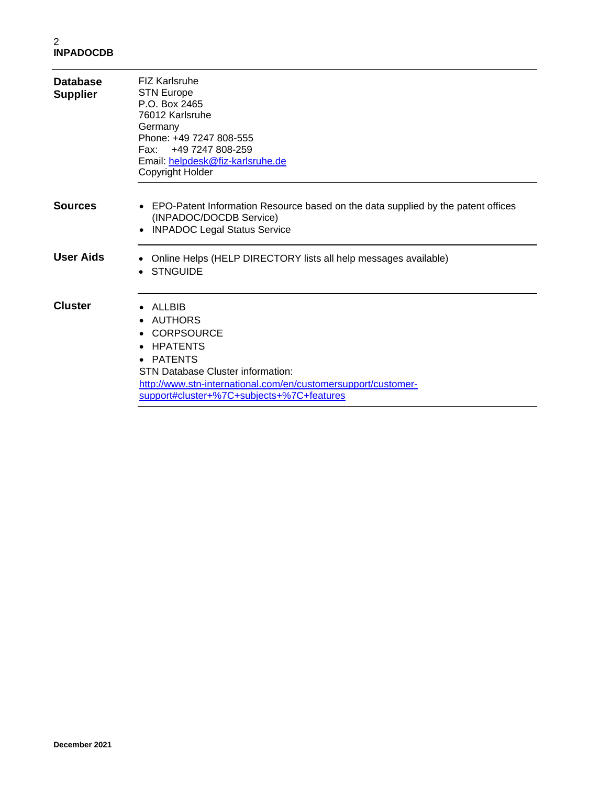| <b>Database</b><br><b>Supplier</b> | <b>FIZ Karlsruhe</b><br><b>STN Europe</b><br>P.O. Box 2465<br>76012 Karlsruhe<br>Germany<br>Phone: +49 7247 808-555<br>Fax: +49 7247 808-259<br>Email: helpdesk@fiz-karlsruhe.de<br>Copyright Holder                                                                  |
|------------------------------------|-----------------------------------------------------------------------------------------------------------------------------------------------------------------------------------------------------------------------------------------------------------------------|
| <b>Sources</b>                     | • EPO-Patent Information Resource based on the data supplied by the patent offices<br>(INPADOC/DOCDB Service)<br><b>INPADOC Legal Status Service</b><br>$\bullet$                                                                                                     |
| <b>User Aids</b>                   | Online Helps (HELP DIRECTORY lists all help messages available)<br><b>STNGUIDE</b>                                                                                                                                                                                    |
| <b>Cluster</b>                     | ALLBIB<br>AUTHORS<br>$\bullet$<br><b>CORPSOURCE</b><br>HPATENTS<br>$\bullet$<br><b>PATENTS</b><br>$\bullet$<br><b>STN Database Cluster information:</b><br>http://www.stn-international.com/en/customersupport/customer-<br>support#cluster+%7C+subjects+%7C+features |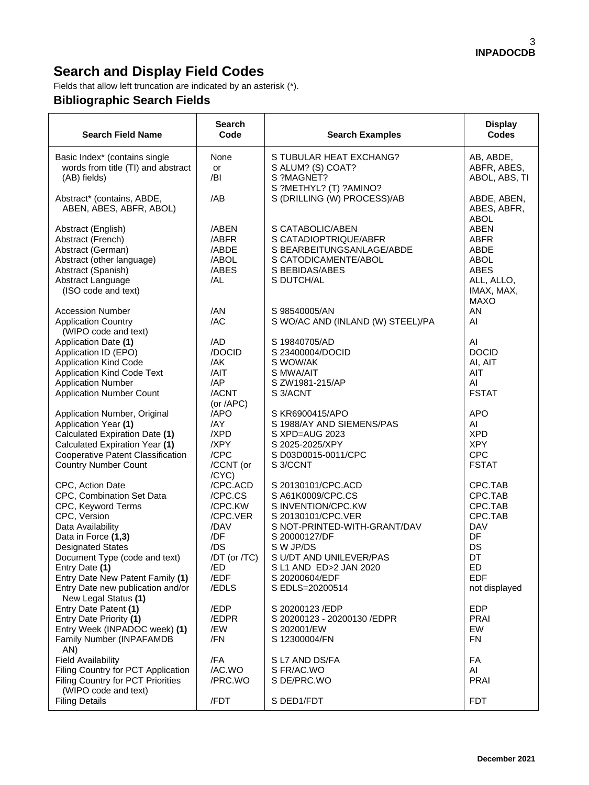# **Search and Display Field Codes**

Fields that allow left truncation are indicated by an asterisk (\*).

### **Bibliographic Search Fields**

| <b>Search Field Name</b>                                                                                                                                                                                                                                                                                        | <b>Search</b><br>Code                                                                                             | <b>Search Examples</b>                                                                                                                                                                                                                      | <b>Display</b><br><b>Codes</b>                                                                                |
|-----------------------------------------------------------------------------------------------------------------------------------------------------------------------------------------------------------------------------------------------------------------------------------------------------------------|-------------------------------------------------------------------------------------------------------------------|---------------------------------------------------------------------------------------------------------------------------------------------------------------------------------------------------------------------------------------------|---------------------------------------------------------------------------------------------------------------|
| Basic Index* (contains single<br>words from title (TI) and abstract<br>(AB) fields)                                                                                                                                                                                                                             | None<br>or<br>/BI                                                                                                 | S TUBULAR HEAT EXCHANG?<br>S ALUM? (S) COAT?<br>S ?MAGNET?                                                                                                                                                                                  | AB, ABDE,<br>ABFR, ABES,<br>ABOL, ABS, TI                                                                     |
| Abstract* (contains, ABDE,<br>ABEN, ABES, ABFR, ABOL)                                                                                                                                                                                                                                                           | /AB                                                                                                               | S ?METHYL? (T) ?AMINO?<br>S (DRILLING (W) PROCESS)/AB                                                                                                                                                                                       | ABDE, ABEN,<br>ABES, ABFR,<br><b>ABOL</b>                                                                     |
| Abstract (English)<br>Abstract (French)<br>Abstract (German)<br>Abstract (other language)<br>Abstract (Spanish)<br>Abstract Language<br>(ISO code and text)                                                                                                                                                     | /ABEN<br>/ABFR<br>/ABDE<br>/ABOL<br>/ABES<br>/AL                                                                  | S CATABOLIC/ABEN<br>S CATADIOPTRIQUE/ABFR<br>S BEARBEITUNGSANLAGE/ABDE<br>S CATODICAMENTE/ABOL<br>S BEBIDAS/ABES<br>S DUTCH/AL                                                                                                              | <b>ABEN</b><br><b>ABFR</b><br>ABDE<br><b>ABOL</b><br><b>ABES</b><br>ALL, ALLO,<br>IMAX, MAX,<br><b>MAXO</b>   |
| <b>Accession Number</b><br><b>Application Country</b><br>(WIPO code and text)                                                                                                                                                                                                                                   | /AN<br>/AC                                                                                                        | S 98540005/AN<br>S WO/AC AND (INLAND (W) STEEL)/PA                                                                                                                                                                                          | ΑN<br>AI                                                                                                      |
| Application Date (1)<br>Application ID (EPO)<br><b>Application Kind Code</b><br><b>Application Kind Code Text</b><br><b>Application Number</b><br><b>Application Number Count</b>                                                                                                                               | /AD<br>/DOCID<br>/AK<br>/AIT<br>/AP<br>/ACNT<br>(or $APC$ )                                                       | S 19840705/AD<br>S 23400004/DOCID<br>S WOW/AK<br>S MWA/AIT<br>S ZW1981-215/AP<br>S 3/ACNT                                                                                                                                                   | AI<br><b>DOCID</b><br>AI, AIT<br>AIT<br>AI<br><b>FSTAT</b>                                                    |
| Application Number, Original<br>Application Year (1)<br>Calculated Expiration Date (1)<br>Calculated Expiration Year (1)<br>Cooperative Patent Classification<br><b>Country Number Count</b>                                                                                                                    | /APO<br>/AY<br>/XPD<br>/XPY<br>/CPC<br>/CCNT (or                                                                  | S KR6900415/APO<br>S 1988/AY AND SIEMENS/PAS<br>S XPD=AUG 2023<br>S 2025-2025/XPY<br>S D03D0015-0011/CPC<br>S 3/CCNT                                                                                                                        | <b>APO</b><br>AI<br><b>XPD</b><br><b>XPY</b><br><b>CPC</b><br><b>FSTAT</b>                                    |
| CPC, Action Date<br>CPC, Combination Set Data<br>CPC, Keyword Terms<br>CPC, Version<br>Data Availability<br>Data in Force (1,3)<br><b>Designated States</b><br>Document Type (code and text)<br>Entry Date (1)<br>Entry Date New Patent Family (1)<br>Entry Date new publication and/or<br>New Legal Status (1) | /CYC)<br>/CPC.ACD<br>/CPC.CS<br>/CPC.KW<br>/CPC.VER<br>/DAV<br>/DF<br>/DS<br>/DT (or /TC)<br>/ED<br>/EDF<br>/EDLS | S 20130101/CPC.ACD<br>S A61K0009/CPC.CS<br>S INVENTION/CPC.KW<br>S 20130101/CPC.VER<br>S NOT-PRINTED-WITH-GRANT/DAV<br>S 20000127/DF<br>S W JP/DS<br>S U/DT AND UNILEVER/PAS<br>S L1 AND ED>2 JAN 2020<br>S 20200604/EDF<br>S EDLS=20200514 | CPC.TAB<br>CPC.TAB<br>CPC.TAB<br>CPC.TAB<br><b>DAV</b><br>DF<br>DS<br>DT<br>ED<br><b>EDF</b><br>not displayed |
| Entry Date Patent (1)<br>Entry Date Priority (1)<br>Entry Week (INPADOC week) (1)<br>Family Number (INPAFAMDB                                                                                                                                                                                                   | /EDP<br>/EDPR<br>/EW<br>/FN                                                                                       | S 20200123 / EDP<br>S 20200123 - 20200130 / EDPR<br>S 202001/EW<br>S 12300004/FN                                                                                                                                                            | <b>EDP</b><br><b>PRAI</b><br>EW<br><b>FN</b>                                                                  |
| AN)<br><b>Field Availability</b><br>Filing Country for PCT Application<br>Filing Country for PCT Priorities<br>(WIPO code and text)                                                                                                                                                                             | /FA<br>/AC.WO<br>/PRC.WO                                                                                          | S L7 AND DS/FA<br>S FR/AC.WO<br>S DE/PRC.WO                                                                                                                                                                                                 | FA<br>AI<br><b>PRAI</b>                                                                                       |
| <b>Filing Details</b>                                                                                                                                                                                                                                                                                           | /FDT                                                                                                              | S DED1/FDT                                                                                                                                                                                                                                  | <b>FDT</b>                                                                                                    |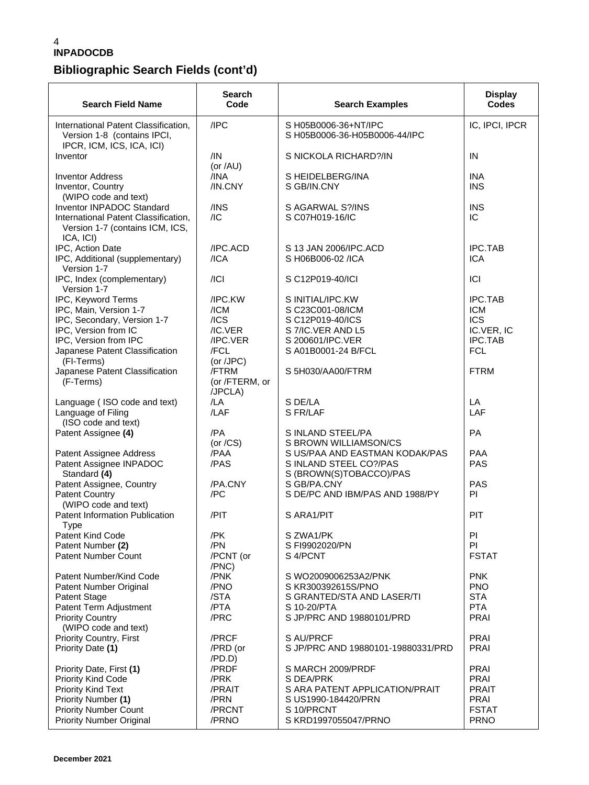#### 4 **INPADOCDB**

### **Bibliographic Search Fields (cont'd)**

| <b>Search Field Name</b>                                                                                                                                              | Search<br>Code                                         | <b>Search Examples</b>                                                                                                        | <b>Display</b><br><b>Codes</b>                                                           |
|-----------------------------------------------------------------------------------------------------------------------------------------------------------------------|--------------------------------------------------------|-------------------------------------------------------------------------------------------------------------------------------|------------------------------------------------------------------------------------------|
| International Patent Classification,<br>Version 1-8 (contains IPCI,<br>IPCR, ICM, ICS, ICA, ICI)                                                                      | /IPC                                                   | S H05B0006-36+NT/IPC<br>S H05B0006-36-H05B0006-44/IPC                                                                         | IC, IPCI, IPCR                                                                           |
| Inventor                                                                                                                                                              | /IN<br>(or $/AU$ )                                     | S NICKOLA RICHARD?/IN                                                                                                         | IN                                                                                       |
| <b>Inventor Address</b><br>Inventor, Country                                                                                                                          | /INA<br>/IN.CNY                                        | S HEIDELBERG/INA<br>S GB/IN.CNY                                                                                               | <b>INA</b><br><b>INS</b>                                                                 |
| (WIPO code and text)<br>Inventor INPADOC Standard<br>International Patent Classification,<br>Version 1-7 (contains ICM, ICS,<br>ICA, ICI)                             | /INS<br>/IC                                            | S AGARWAL S?/INS<br>S C07H019-16/IC                                                                                           | <b>INS</b><br>IC                                                                         |
| IPC, Action Date<br>IPC, Additional (supplementary)<br>Version 1-7                                                                                                    | /IPC.ACD<br>/ICA                                       | S 13 JAN 2006/IPC.ACD<br>S H06B006-02 /ICA                                                                                    | <b>IPC.TAB</b><br><b>ICA</b>                                                             |
| IPC, Index (complementary)<br>Version 1-7                                                                                                                             | / Cl                                                   | S C12P019-40/ICI                                                                                                              | ICI                                                                                      |
| IPC, Keyword Terms<br>IPC, Main, Version 1-7<br>IPC, Secondary, Version 1-7<br>IPC, Version from IC<br>IPC, Version from IPC<br>Japanese Patent Classification        | /IPC.KW<br>/ICM<br>/ICS<br>/IC.VER<br>/IPC.VER<br>/FCL | S INITIAL/IPC.KW<br>S C23C001-08/ICM<br>S C12P019-40/ICS<br>S 7/IC.VER AND L5<br>S 200601/IPC.VER<br>S A01B0001-24 B/FCL      | <b>IPC.TAB</b><br><b>ICM</b><br><b>ICS</b><br>IC.VER, IC<br><b>IPC.TAB</b><br><b>FCL</b> |
| (FI-Terms)<br>Japanese Patent Classification<br>(F-Terms)                                                                                                             | (or /JPC)<br>/FTRM<br>(or /FTERM, or<br>/JPCLA)        | S 5H030/AA00/FTRM                                                                                                             | <b>FTRM</b>                                                                              |
| Language (ISO code and text)<br>Language of Filing<br>(ISO code and text)                                                                                             | /LA<br>/LAF                                            | S DE/LA<br>S FR/LAF                                                                                                           | LA<br>LAF                                                                                |
| Patent Assignee (4)                                                                                                                                                   | /PA<br>(or $/CS$ )                                     | S INLAND STEEL/PA<br>S BROWN WILLIAMSON/CS                                                                                    | PA                                                                                       |
| Patent Assignee Address<br>Patent Assignee INPADOC<br>Standard (4)                                                                                                    | /PAA<br>/PAS                                           | S US/PAA AND EASTMAN KODAK/PAS<br>S INLAND STEEL CO?/PAS<br>S (BROWN(S)TOBACCO)/PAS                                           | <b>PAA</b><br><b>PAS</b>                                                                 |
| Patent Assignee, Country<br><b>Patent Country</b>                                                                                                                     | /PA.CNY<br>/PC                                         | S GB/PA.CNY<br>S DE/PC AND IBM/PAS AND 1988/PY                                                                                | <b>PAS</b><br>PI                                                                         |
| (WIPO code and text)<br><b>Patent Information Publication</b>                                                                                                         | /PIT                                                   | S ARA1/PIT                                                                                                                    | PIT                                                                                      |
| Type<br>Patent Kind Code<br>Patent Number (2)<br><b>Patent Number Count</b>                                                                                           | /PK<br>/PN<br>/PCNT (or                                | S ZWA1/PK<br>S FI9902020/PN<br>S 4/PCNT                                                                                       | PI<br>PI<br><b>FSTAT</b>                                                                 |
| Patent Number/Kind Code<br>Patent Number Original<br>Patent Stage<br>Patent Term Adjustment<br><b>Priority Country</b><br>(WIPO code and text)                        | /PNC)<br>/PNK<br>/PNO<br>/STA<br>/PTA<br>/PRC          | S WO2009006253A2/PNK<br>S KR300392615S/PNO<br>S GRANTED/STA AND LASER/TI<br>S 10-20/PTA<br>S JP/PRC AND 19880101/PRD          | <b>PNK</b><br><b>PNO</b><br><b>STA</b><br><b>PTA</b><br><b>PRAI</b>                      |
| Priority Country, First<br>Priority Date (1)                                                                                                                          | /PRCF<br>/PRD (or<br>/PD.D)                            | S AU/PRCF<br>S JP/PRC AND 19880101-19880331/PRD                                                                               | <b>PRAI</b><br><b>PRAI</b>                                                               |
| Priority Date, First (1)<br>Priority Kind Code<br><b>Priority Kind Text</b><br>Priority Number (1)<br><b>Priority Number Count</b><br><b>Priority Number Original</b> | /PRDF<br>/PRK<br>/PRAIT<br>/PRN<br>/PRCNT<br>/PRNO     | S MARCH 2009/PRDF<br>S DEA/PRK<br>S ARA PATENT APPLICATION/PRAIT<br>S US1990-184420/PRN<br>S 10/PRCNT<br>S KRD1997055047/PRNO | <b>PRAI</b><br><b>PRAI</b><br><b>PRAIT</b><br><b>PRAI</b><br><b>FSTAT</b><br><b>PRNO</b> |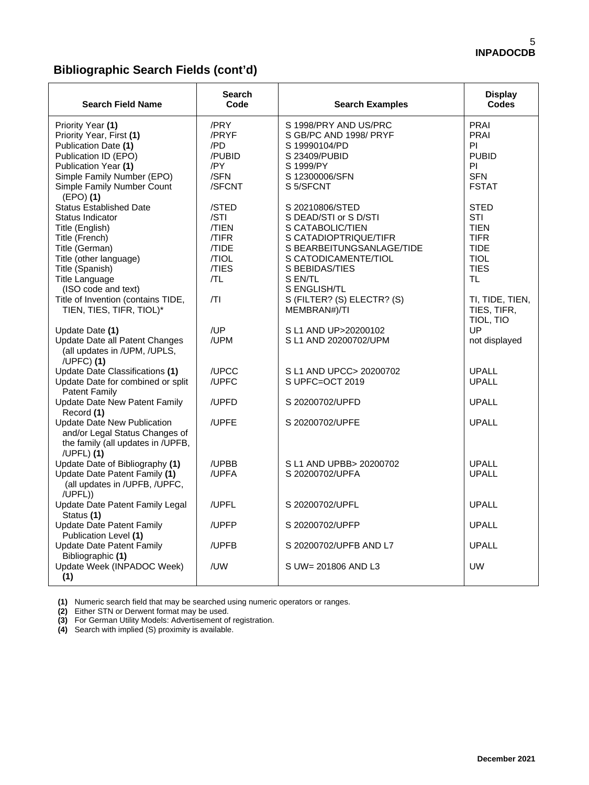#### **Bibliographic Search Fields (cont'd)**

| <b>Search Field Name</b>                                                                                                                                                                                                                                                 | <b>Search</b><br>Code                                                               | <b>Search Examples</b>                                                                                                                                                                                                                | <b>Display</b><br><b>Codes</b>                                                                                                                      |
|--------------------------------------------------------------------------------------------------------------------------------------------------------------------------------------------------------------------------------------------------------------------------|-------------------------------------------------------------------------------------|---------------------------------------------------------------------------------------------------------------------------------------------------------------------------------------------------------------------------------------|-----------------------------------------------------------------------------------------------------------------------------------------------------|
| Priority Year (1)<br>Priority Year, First (1)<br>Publication Date (1)<br>Publication ID (EPO)<br>Publication Year (1)<br>Simple Family Number (EPO)<br>Simple Family Number Count<br>$(EPO)$ (1)                                                                         | /PRY<br>/PRYF<br>/PD<br>/PUBID<br>/PY<br>/SFN<br>/SFCNT                             | S 1998/PRY AND US/PRC<br>S GB/PC AND 1998/ PRYF<br>S 19990104/PD<br>S 23409/PUBID<br>S 1999/PY<br>S 12300006/SFN<br>S 5/SFCNT                                                                                                         | PRAI<br><b>PRAI</b><br>PI.<br><b>PUBID</b><br>PI<br><b>SFN</b><br><b>FSTAT</b>                                                                      |
| <b>Status Established Date</b><br>Status Indicator<br>Title (English)<br>Title (French)<br>Title (German)<br>Title (other language)<br>Title (Spanish)<br><b>Title Language</b><br>(ISO code and text)<br>Title of Invention (contains TIDE,<br>TIEN, TIES, TIFR, TIOL)* | /STED<br>/STI<br><b>TIEN</b><br><b>TIFR</b><br>/TIDE<br>/TIOL<br>/TIES<br>/TL<br> T | S 20210806/STED<br>S DEAD/STI or S D/STI<br>S CATABOLIC/TIEN<br>S CATADIOPTRIQUE/TIFR<br>S BEARBEITUNGSANLAGE/TIDE<br>S CATODICAMENTE/TIOL<br>S BEBIDAS/TIES<br>S EN/TL<br>S ENGLISH/TL<br>S (FILTER? (S) ELECTR? (S)<br>MEMBRAN#)/TI | <b>STED</b><br><b>STI</b><br><b>TIEN</b><br><b>TIFR</b><br><b>TIDE</b><br><b>TIOL</b><br><b>TIES</b><br><b>TL</b><br>TI, TIDE, TIEN,<br>TIES, TIFR, |
| Update Date (1)<br>Update Date all Patent Changes<br>(all updates in /UPM, /UPLS,<br>$/UPFC$ ) (1)                                                                                                                                                                       | /UP<br>/UPM                                                                         | S L1 AND UP>20200102<br>S L1 AND 20200702/UPM                                                                                                                                                                                         | TIOL, TIO<br>UP<br>not displayed                                                                                                                    |
| Update Date Classifications (1)<br>Update Date for combined or split<br><b>Patent Family</b>                                                                                                                                                                             | /UPCC<br>/UPFC                                                                      | S L1 AND UPCC> 20200702<br>S UPFC=OCT 2019                                                                                                                                                                                            | <b>UPALL</b><br><b>UPALL</b>                                                                                                                        |
| Update Date New Patent Family<br>Record (1)                                                                                                                                                                                                                              | /UPFD                                                                               | S 20200702/UPFD                                                                                                                                                                                                                       | <b>UPALL</b>                                                                                                                                        |
| <b>Update Date New Publication</b><br>and/or Legal Status Changes of<br>the family (all updates in /UPFB,<br>/UPFL $(1)$                                                                                                                                                 | /UPFE                                                                               | S 20200702/UPFE                                                                                                                                                                                                                       | <b>UPALL</b>                                                                                                                                        |
| Update Date of Bibliography (1)<br>Update Date Patent Family (1)<br>(all updates in /UPFB, /UPFC,<br>/UPFL))                                                                                                                                                             | /UPBB<br>/UPFA                                                                      | S L1 AND UPBB> 20200702<br>S 20200702/UPFA                                                                                                                                                                                            | <b>UPALL</b><br><b>UPALL</b>                                                                                                                        |
| Update Date Patent Family Legal<br>Status (1)                                                                                                                                                                                                                            | /UPFL                                                                               | S 20200702/UPFL                                                                                                                                                                                                                       | <b>UPALL</b>                                                                                                                                        |
| <b>Update Date Patent Family</b><br>Publication Level (1)                                                                                                                                                                                                                | /UPFP                                                                               | S 20200702/UPFP                                                                                                                                                                                                                       | <b>UPALL</b>                                                                                                                                        |
| <b>Update Date Patent Family</b><br>Bibliographic (1)                                                                                                                                                                                                                    | /UPFB                                                                               | S 20200702/UPFB AND L7                                                                                                                                                                                                                | <b>UPALL</b>                                                                                                                                        |
| Update Week (INPADOC Week)<br>(1)                                                                                                                                                                                                                                        | /UW                                                                                 | S UW= 201806 AND L3                                                                                                                                                                                                                   | <b>UW</b>                                                                                                                                           |

 **(1)** Numeric search field that may be searched using numeric operators or ranges.

 **(2)** Either STN or Derwent format may be used.

 **(3)** For German Utility Models: Advertisement of registration.

 **(4)** Search with implied (S) proximity is available.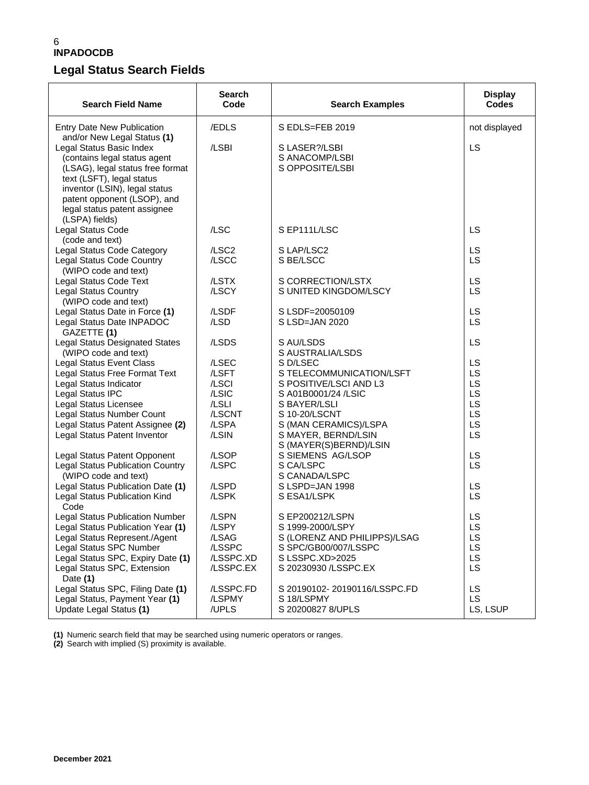### **Legal Status Search Fields**

| <b>Search Field Name</b>                                                                                                                                                                                                                    | <b>Search</b><br>Code                                                 | <b>Search Examples</b>                                                                                                                                                                           | <b>Display</b><br><b>Codes</b>               |
|---------------------------------------------------------------------------------------------------------------------------------------------------------------------------------------------------------------------------------------------|-----------------------------------------------------------------------|--------------------------------------------------------------------------------------------------------------------------------------------------------------------------------------------------|----------------------------------------------|
| <b>Entry Date New Publication</b><br>and/or New Legal Status (1)                                                                                                                                                                            | /EDLS                                                                 | S EDLS=FEB 2019                                                                                                                                                                                  | not displayed                                |
| Legal Status Basic Index<br>(contains legal status agent<br>(LSAG), legal status free format<br>text (LSFT), legal status<br>inventor (LSIN), legal status<br>patent opponent (LSOP), and<br>legal status patent assignee<br>(LSPA) fields) | /LSBI                                                                 | S LASER?/LSBI<br>S ANACOMP/LSBI<br>S OPPOSITE/LSBI                                                                                                                                               | LS                                           |
| Legal Status Code<br>(code and text)                                                                                                                                                                                                        | /LSC                                                                  | S EP111L/LSC                                                                                                                                                                                     | <b>LS</b>                                    |
| Legal Status Code Category<br>Legal Status Code Country<br>(WIPO code and text)                                                                                                                                                             | /LSC <sub>2</sub><br>/LSCC                                            | S LAP/LSC2<br>S BE/LSCC                                                                                                                                                                          | LS<br>LS                                     |
| <b>Legal Status Code Text</b><br><b>Legal Status Country</b><br>(WIPO code and text)                                                                                                                                                        | /LSTX<br>/LSCY                                                        | S CORRECTION/LSTX<br>S UNITED KINGDOM/LSCY                                                                                                                                                       | LS<br>LS                                     |
| Legal Status Date in Force (1)<br>Legal Status Date INPADOC<br>GAZETTE (1)                                                                                                                                                                  | /LSDF<br>/LSD                                                         | S LSDF=20050109<br>S LSD=JAN 2020                                                                                                                                                                | LS<br>LS                                     |
| <b>Legal Status Designated States</b><br>(WIPO code and text)                                                                                                                                                                               | /LSDS                                                                 | S AU/LSDS<br>S AUSTRALIA/LSDS                                                                                                                                                                    | LS                                           |
| <b>Legal Status Event Class</b><br>Legal Status Free Format Text<br>Legal Status Indicator<br>Legal Status IPC<br>Legal Status Licensee<br>Legal Status Number Count<br>Legal Status Patent Assignee (2)<br>Legal Status Patent Inventor    | /LSEC<br>/LSFT<br>/LSCI<br>/LSIC<br>/LSLI<br>/LSCNT<br>/LSPA<br>/LSIN | S D/LSEC<br>S TELECOMMUNICATION/LSFT<br>S POSITIVE/LSCI AND L3<br>S A01B0001/24 /LSIC<br>S BAYER/LSLI<br>S 10-20/LSCNT<br>S (MAN CERAMICS)/LSPA<br>S MAYER, BERND/LSIN<br>S (MAYER(S)BERND)/LSIN | LS<br>LS<br>LS<br>LS<br>LS<br>LS<br>LS<br>LS |
| Legal Status Patent Opponent<br><b>Legal Status Publication Country</b><br>(WIPO code and text)                                                                                                                                             | /LSOP<br>/LSPC                                                        | S SIEMENS AG/LSOP<br>S CA/LSPC<br>S CANADA/LSPC                                                                                                                                                  | LS<br>LS                                     |
| Legal Status Publication Date (1)<br>Legal Status Publication Kind<br>Code                                                                                                                                                                  | /LSPD<br>/LSPK                                                        | S LSPD=JAN 1998<br>S ESA1/LSPK                                                                                                                                                                   | LS<br><b>LS</b>                              |
| <b>Legal Status Publication Number</b><br>Legal Status Publication Year (1)<br>Legal Status Represent./Agent<br>Legal Status SPC Number<br>Legal Status SPC, Expiry Date (1)<br>Legal Status SPC, Extension<br>Date (1)                     | /LSPN<br>/LSPY<br>/LSAG<br>/LSSPC<br>/LSSPC.XD<br>/LSSPC.EX           | S EP200212/LSPN<br>S 1999-2000/LSPY<br>S (LORENZ AND PHILIPPS)/LSAG<br>S SPC/GB00/007/LSSPC<br>S LSSPC.XD>2025<br>S 20230930 /LSSPC.EX                                                           | LS<br>.S<br>L<br>LS<br>LS.<br>LS<br>LS       |
| Legal Status SPC, Filing Date (1)<br>Legal Status, Payment Year (1)<br>Update Legal Status (1)                                                                                                                                              | /LSSPC.FD<br>/LSPMY<br>/UPLS                                          | S 20190102-20190116/LSSPC.FD<br>S 18/LSPMY<br>S 20200827 8/UPLS                                                                                                                                  | LS<br>LS.<br>LS, LSUP                        |

**(1)** Numeric search field that may be searched using numeric operators or ranges.

**(2)** Search with implied (S) proximity is available.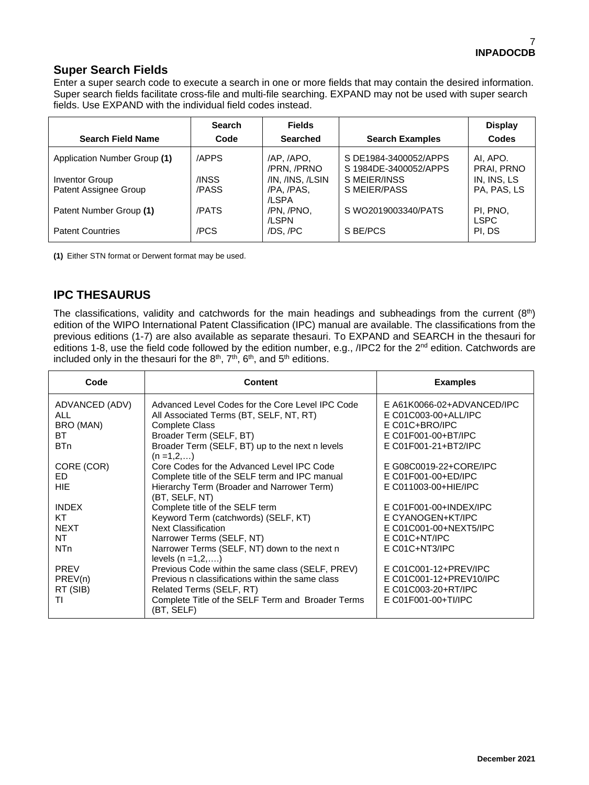#### **Super Search Fields**

Enter a super search code to execute a search in one or more fields that may contain the desired information. Super search fields facilitate cross-file and multi-file searching. EXPAND may not be used with super search fields. Use EXPAND with the individual field codes instead.

|                              | <b>Search</b> | <b>Fields</b>             |                                                | <b>Display</b>          |
|------------------------------|---------------|---------------------------|------------------------------------------------|-------------------------|
| <b>Search Field Name</b>     | Code          | <b>Searched</b>           | <b>Search Examples</b>                         | Codes                   |
| Application Number Group (1) | /APPS         | /AP. /APO.<br>/PRN. /PRNO | S DE1984-3400052/APPS<br>S 1984DE-3400052/APPS | AI. APO.<br>PRAI, PRNO  |
| Inventor Group               | /INSS         | /IN, /INS, /LSIN          | S MEIER/INSS                                   | IN, INS, LS             |
| Patent Assignee Group        | /PASS         | /PA, /PAS,<br>/LSPA       | S MEIER/PASS                                   | PA, PAS, LS             |
| Patent Number Group (1)      | /PATS         | /PN, /PNO,<br>/LSPN       | S WO2019003340/PATS                            | PI, PNO,<br><b>LSPC</b> |
| <b>Patent Countries</b>      | /PCS          | /DS, /PC                  | S BE/PCS                                       | PI. DS                  |

**(1)** Either STN format or Derwent format may be used.

#### **IPC THESAURUS**

The classifications, validity and catchwords for the main headings and subheadings from the current (8th) edition of the WIPO International Patent Classification (IPC) manual are available. The classifications from the previous editions (1-7) are also available as separate thesauri. To EXPAND and SEARCH in the thesauri for editions 1-8, use the field code followed by the edition number, e.g., /IPC2 for the 2<sup>nd</sup> edition. Catchwords are included only in the thesauri for the  $8<sup>th</sup>$ ,  $7<sup>th</sup>$ ,  $6<sup>th</sup>$ , and  $5<sup>th</sup>$  editions.

| Code                                              | <b>Content</b>                                                                                                                                                                                                       | <b>Examples</b>                                                                                                     |
|---------------------------------------------------|----------------------------------------------------------------------------------------------------------------------------------------------------------------------------------------------------------------------|---------------------------------------------------------------------------------------------------------------------|
| ADVANCED (ADV)<br>ALL.<br>BRO (MAN)<br>BT.<br>BTn | Advanced Level Codes for the Core Level IPC Code<br>All Associated Terms (BT, SELF, NT, RT)<br><b>Complete Class</b><br>Broader Term (SELF, BT)<br>Broader Term (SELF, BT) up to the next n levels<br>$(n = 1, 2, )$ | E A61K0066-02+ADVANCED/IPC<br>E C01C003-00+ALL/IPC<br>E C01C+BRO/IPC<br>E C01F001-00+BT/IPC<br>E C01F001-21+BT2/IPC |
| CORE (COR)                                        | Core Codes for the Advanced Level IPC Code                                                                                                                                                                           | E G08C0019-22+CORE/IPC                                                                                              |
| ED.                                               | Complete title of the SELF term and IPC manual                                                                                                                                                                       | E C01F001-00+ED/IPC                                                                                                 |
| <b>HIE</b>                                        | Hierarchy Term (Broader and Narrower Term)<br>(BT, SELF, NT)                                                                                                                                                         | E C011003-00+HIE/IPC                                                                                                |
| <b>INDEX</b>                                      | Complete title of the SELF term                                                                                                                                                                                      | $E$ C01F001-00+INDEX/IPC                                                                                            |
| KT                                                | Keyword Term (catchwords) (SELF, KT)                                                                                                                                                                                 | E CYANOGEN+KT/IPC                                                                                                   |
| <b>NEXT</b>                                       | <b>Next Classification</b>                                                                                                                                                                                           | E C01C001-00+NEXT5/IPC                                                                                              |
| NT.                                               | Narrower Terms (SELF, NT)                                                                                                                                                                                            | $E$ C01C+NT/IPC                                                                                                     |
| NT <sub>n</sub>                                   | Narrower Terms (SELF, NT) down to the next n<br>levels $(n = 1, 2, )$                                                                                                                                                | E C01C+NT3/IPC                                                                                                      |
| <b>PREV</b>                                       | Previous Code within the same class (SELF, PREV)                                                                                                                                                                     | E C01C001-12+PREV/IPC                                                                                               |
| PREV(n)                                           | Previous n classifications within the same class                                                                                                                                                                     | E C01C001-12+PREV10/IPC                                                                                             |
| RT (SIB)                                          | Related Terms (SELF, RT)                                                                                                                                                                                             | E C01C003-20+RT/IPC                                                                                                 |
| ΤI                                                | Complete Title of the SELF Term and Broader Terms<br>(BT, SELF)                                                                                                                                                      | E C01F001-00+TI/IPC                                                                                                 |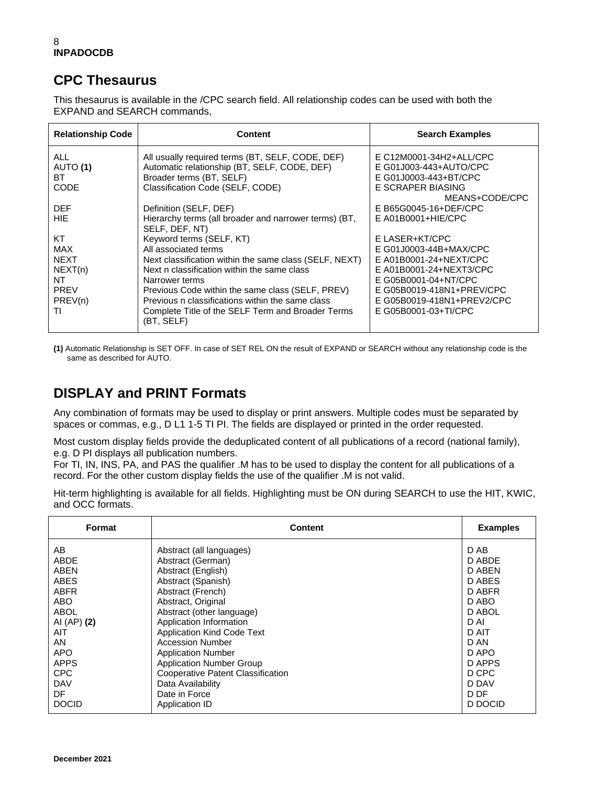#### **CPC Thesaurus**

This thesaurus is available in the /CPC search field. All relationship codes can be used with both the EXPAND and SEARCH commands,

| <b>Relationship Code</b> | Content                                                                 | <b>Search Examples</b>                     |
|--------------------------|-------------------------------------------------------------------------|--------------------------------------------|
| ALL.                     | All usually required terms (BT, SELF, CODE, DEF)                        | E C12M0001-34H2+ALL/CPC                    |
| AUTO (1)<br>ВT           | Automatic relationship (BT, SELF, CODE, DEF)                            | E G01J003-443+AUTO/CPC                     |
| CODE                     | Broader terms (BT, SELF)<br>Classification Code (SELF, CODE)            | E G01J0003-443+BT/CPC<br>E SCRAPER BIASING |
|                          |                                                                         | MEANS+CODE/CPC                             |
| <b>DEF</b>               | Definition (SELF, DEF)                                                  | E B65G0045-16+DEF/CPC                      |
| HIE.                     | Hierarchy terms (all broader and narrower terms) (BT,<br>SELF, DEF, NT) | $E$ A01B0001+HIE/CPC                       |
| КT                       | Keyword terms (SELF, KT)                                                | E LASER+KT/CPC                             |
| MAX                      | All associated terms                                                    | E G01J0003-44B+MAX/CPC                     |
| <b>NEXT</b>              | Next classification within the same class (SELF, NEXT)                  | E A01B0001-24+NEXT/CPC                     |
| NEXT(n)                  | Next n classification within the same class                             | E A01B0001-24+NEXT3/CPC                    |
| NT                       | Narrower terms                                                          | E G05B0001-04+NT/CPC                       |
| <b>PREV</b>              | Previous Code within the same class (SELF, PREV)                        | E G05B0019-418N1+PREV/CPC                  |
| PREV(n)                  | Previous n classifications within the same class                        | E G05B0019-418N1+PREV2/CPC                 |
| ΤI                       | Complete Title of the SELF Term and Broader Terms<br>(BT, SELF)         | E G05B0001-03+TI/CPC                       |

**(1)** Automatic Relationship is SET OFF. In case of SET REL ON the result of EXPAND or SEARCH without any relationship code is the same as described for AUTO.

### **DISPLAY and PRINT Formats**

Any combination of formats may be used to display or print answers. Multiple codes must be separated by spaces or commas, e.g., D L1 1-5 TI PI. The fields are displayed or printed in the order requested.

Most custom display fields provide the deduplicated content of all publications of a record (national family), e.g. D PI displays all publication numbers.

For TI, IN, INS, PA, and PAS the qualifier .M has to be used to display the content for all publications of a record. For the other custom display fields the use of the qualifier .M is not valid.

Hit-term highlighting is available for all fields. Highlighting must be ON during SEARCH to use the HIT, KWIC, and OCC formats.

| Format       | <b>Content</b>                           | <b>Examples</b> |
|--------------|------------------------------------------|-----------------|
| AB           | Abstract (all languages)                 | D AB            |
| ABDE         | Abstract (German)                        | D ABDE          |
| ABEN         | Abstract (English)                       | D ABEN          |
| ABES         | Abstract (Spanish)                       | D ABES          |
| <b>ABFR</b>  | Abstract (French)                        | D ABFR          |
| ABO          | Abstract, Original                       | D ABO           |
| ABOL         | Abstract (other language)                | D ABOL          |
| AI (AP) (2)  | Application Information                  | D AI            |
| AIT          | <b>Application Kind Code Text</b>        | D AIT           |
| AN           | <b>Accession Number</b>                  | D AN            |
| <b>APO</b>   | <b>Application Number</b>                | D APO           |
| <b>APPS</b>  | <b>Application Number Group</b>          | D APPS          |
| <b>CPC</b>   | <b>Cooperative Patent Classification</b> | D CPC           |
| <b>DAV</b>   | Data Availability                        | D DAV           |
| DF           | Date in Force                            | D DF            |
| <b>DOCID</b> | Application ID                           | D DOCID         |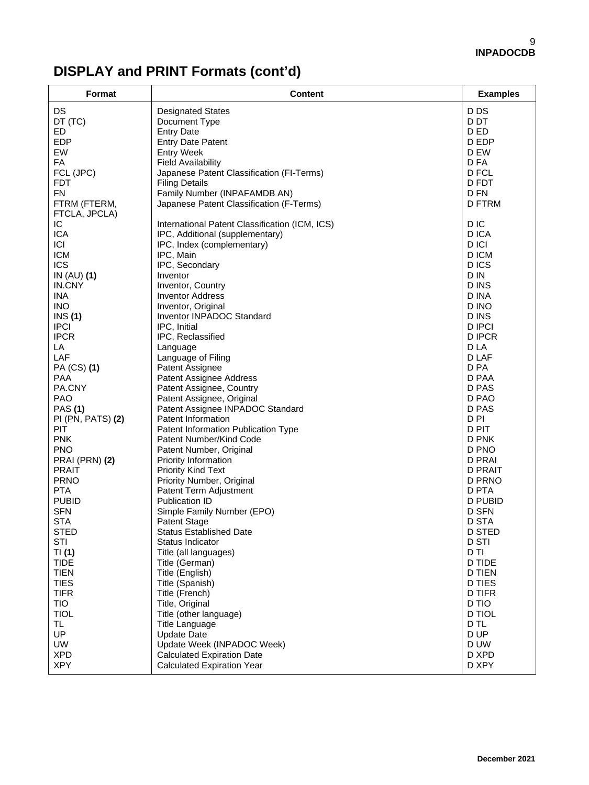# **DISPLAY and PRINT Formats (cont'd)**

| Format                                | <b>Content</b>                                         | <b>Examples</b>          |
|---------------------------------------|--------------------------------------------------------|--------------------------|
| DS                                    | <b>Designated States</b>                               | D DS                     |
| DT (TC)                               | Document Type                                          | D DT                     |
| ED.                                   | <b>Entry Date</b>                                      | D ED                     |
| <b>EDP</b>                            | <b>Entry Date Patent</b>                               | D EDP                    |
| EW                                    | <b>Entry Week</b>                                      | D EW                     |
| FA                                    | <b>Field Availability</b>                              | D FA                     |
| FCL (JPC)                             | Japanese Patent Classification (FI-Terms)              | D FCL                    |
| <b>FDT</b>                            | <b>Filing Details</b>                                  | D FDT                    |
| <b>FN</b>                             | Family Number (INPAFAMDB AN)                           | D FN                     |
| FTRM (FTERM,                          | Japanese Patent Classification (F-Terms)               | <b>D FTRM</b>            |
| FTCLA, JPCLA)                         |                                                        |                          |
| IC                                    | International Patent Classification (ICM, ICS)         | D <sub>IC</sub>          |
| <b>ICA</b>                            | IPC, Additional (supplementary)                        | D ICA                    |
| ICI                                   | IPC, Index (complementary)                             | D ICI                    |
| <b>ICM</b>                            | IPC, Main                                              | D ICM                    |
| <b>ICS</b>                            | IPC, Secondary                                         | D ICS                    |
| IN $(AU)$ (1)                         | Inventor                                               | D IN                     |
| IN.CNY                                | Inventor, Country                                      | D INS                    |
| <b>INA</b>                            | <b>Inventor Address</b>                                | D INA                    |
| <b>INO</b>                            | Inventor, Original                                     | D INO                    |
| INS(1)                                | Inventor INPADOC Standard                              | D INS                    |
| <b>IPCI</b>                           | IPC, Initial                                           | <b>D IPCI</b>            |
| <b>IPCR</b>                           | IPC, Reclassified                                      | <b>DIPCR</b>             |
| LA                                    | Language                                               | D LA                     |
| LAF                                   | Language of Filing                                     | D LAF                    |
| PA (CS) (1)                           | Patent Assignee                                        | D PA                     |
| <b>PAA</b>                            | Patent Assignee Address                                | D PAA                    |
| PA.CNY                                | Patent Assignee, Country                               | D PAS                    |
| <b>PAO</b>                            | Patent Assignee, Original                              | D PAO                    |
| <b>PAS (1)</b>                        | Patent Assignee INPADOC Standard                       | D PAS                    |
| PI (PN, PATS) (2)                     | Patent Information                                     | D PI                     |
| PIT                                   | Patent Information Publication Type                    | D PIT                    |
| <b>PNK</b><br><b>PNO</b>              | Patent Number/Kind Code                                | D PNK                    |
|                                       | Patent Number, Original                                | D PNO                    |
| <b>PRAI (PRN) (2)</b><br><b>PRAIT</b> | Priority Information                                   | D PRAI<br><b>D PRAIT</b> |
| <b>PRNO</b>                           | <b>Priority Kind Text</b><br>Priority Number, Original | D PRNO                   |
| <b>PTA</b>                            | Patent Term Adjustment                                 | D PTA                    |
| <b>PUBID</b>                          | Publication ID                                         | D PUBID                  |
| <b>SFN</b>                            | Simple Family Number (EPO)                             | <b>D SFN</b>             |
| <b>STA</b>                            | <b>Patent Stage</b>                                    | D STA                    |
| STED                                  | Status Established Date                                | D STED                   |
| STI                                   | Status Indicator                                       | <b>D STI</b>             |
| TI(1)                                 | Title (all languages)                                  | D TI                     |
| <b>TIDE</b>                           | Title (German)                                         | D TIDE                   |
| <b>TIEN</b>                           | Title (English)                                        | <b>D TIEN</b>            |
| <b>TIES</b>                           | Title (Spanish)                                        | <b>D TIES</b>            |
| <b>TIFR</b>                           | Title (French)                                         | <b>D TIFR</b>            |
| <b>TIO</b>                            | Title, Original                                        | D TIO                    |
| <b>TIOL</b>                           | Title (other language)                                 | <b>D TIOL</b>            |
| TL.                                   | <b>Title Language</b>                                  | D TL                     |
| UP                                    | <b>Update Date</b>                                     | D UP                     |
| <b>UW</b>                             | Update Week (INPADOC Week)                             | D UW                     |
| <b>XPD</b>                            | <b>Calculated Expiration Date</b>                      | D XPD                    |
| <b>XPY</b>                            | <b>Calculated Expiration Year</b>                      | D XPY                    |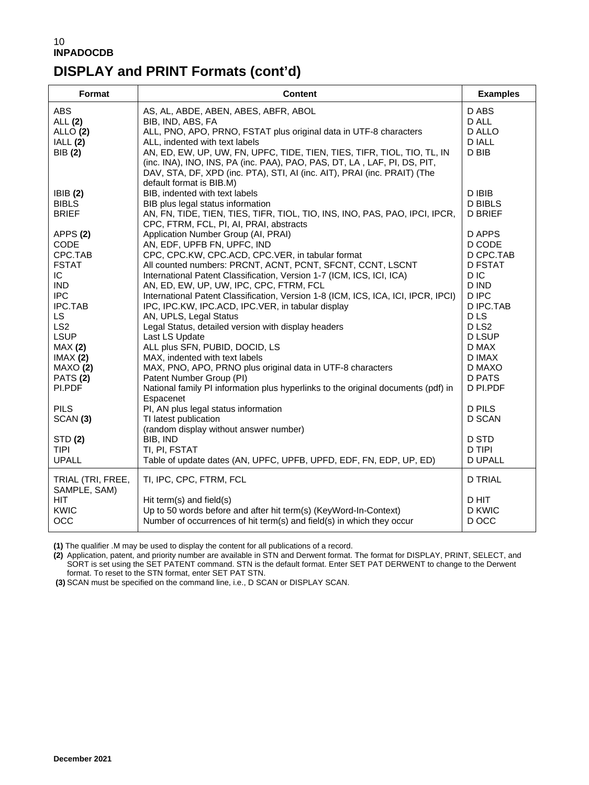## **DISPLAY and PRINT Formats (cont'd)**

| Format                                                                                                                                                                                                                               | <b>Content</b>                                                                                                                                                                                                                                                                                                                                                                                                                                                                                                                                                                                                                                                                                                                                                                                                                                                                                                                   | <b>Examples</b>                                                                                                                                                                                                                       |
|--------------------------------------------------------------------------------------------------------------------------------------------------------------------------------------------------------------------------------------|----------------------------------------------------------------------------------------------------------------------------------------------------------------------------------------------------------------------------------------------------------------------------------------------------------------------------------------------------------------------------------------------------------------------------------------------------------------------------------------------------------------------------------------------------------------------------------------------------------------------------------------------------------------------------------------------------------------------------------------------------------------------------------------------------------------------------------------------------------------------------------------------------------------------------------|---------------------------------------------------------------------------------------------------------------------------------------------------------------------------------------------------------------------------------------|
| <b>ABS</b><br>ALL (2)<br>ALLO(2)<br>IALL (2)<br>BIB (2)                                                                                                                                                                              | AS, AL, ABDE, ABEN, ABES, ABFR, ABOL<br>BIB, IND, ABS, FA<br>ALL, PNO, APO, PRNO, FSTAT plus original data in UTF-8 characters<br>ALL, indented with text labels<br>AN, ED, EW, UP, UW, FN, UPFC, TIDE, TIEN, TIES, TIFR, TIOL, TIO, TL, IN<br>(inc. INA), INO, INS, PA (inc. PAA), PAO, PAS, DT, LA, LAF, PI, DS, PIT,<br>DAV, STA, DF, XPD (inc. PTA), STI, AI (inc. AIT), PRAI (inc. PRAIT) (The<br>default format is BIB.M)                                                                                                                                                                                                                                                                                                                                                                                                                                                                                                  | D ABS<br>D ALL<br><b>D ALLO</b><br><b>D IALL</b><br>D BIB                                                                                                                                                                             |
| <b>IBIB</b> (2)<br><b>BIBLS</b><br><b>BRIEF</b>                                                                                                                                                                                      | BIB, indented with text labels<br>BIB plus legal status information<br>AN, FN, TIDE, TIEN, TIES, TIFR, TIOL, TIO, INS, INO, PAS, PAO, IPCI, IPCR,<br>CPC, FTRM, FCL, PI, AI, PRAI, abstracts                                                                                                                                                                                                                                                                                                                                                                                                                                                                                                                                                                                                                                                                                                                                     | D IBIB<br><b>D BIBLS</b><br><b>D BRIEF</b>                                                                                                                                                                                            |
| APPS(2)<br>CODE<br>CPC.TAB<br><b>FSTAT</b><br>IC.<br><b>IND</b><br><b>IPC</b><br>IPC.TAB<br>LS.<br>LS <sub>2</sub><br><b>LSUP</b><br>MAX(2)<br>IMAX(2)<br>MAXO(2)<br><b>PATS (2)</b><br>PI.PDF<br><b>PILS</b><br>SCAN <sub>(3)</sub> | Application Number Group (AI, PRAI)<br>AN, EDF, UPFB FN, UPFC, IND<br>CPC, CPC.KW, CPC.ACD, CPC.VER, in tabular format<br>All counted numbers: PRCNT, ACNT, PCNT, SFCNT, CCNT, LSCNT<br>International Patent Classification, Version 1-7 (ICM, ICS, ICI, ICA)<br>AN, ED, EW, UP, UW, IPC, CPC, FTRM, FCL<br>International Patent Classification, Version 1-8 (ICM, ICS, ICA, ICI, IPCR, IPCI)<br>IPC, IPC.KW, IPC.ACD, IPC.VER, in tabular display<br>AN, UPLS, Legal Status<br>Legal Status, detailed version with display headers<br>Last LS Update<br>ALL plus SFN, PUBID, DOCID, LS<br>MAX, indented with text labels<br>MAX, PNO, APO, PRNO plus original data in UTF-8 characters<br>Patent Number Group (PI)<br>National family PI information plus hyperlinks to the original documents (pdf) in<br>Espacenet<br>PI, AN plus legal status information<br>TI latest publication<br>(random display without answer number) | D APPS<br>D CODE<br>D CPC.TAB<br><b>D FSTAT</b><br>D IC<br>D IND<br>D IPC<br><b>D IPC.TAB</b><br><b>DLS</b><br>DLS <sub>2</sub><br><b>D LSUP</b><br>D MAX<br>D IMAX<br>D MAXO<br>D PATS<br>D PI.PDF<br><b>D PILS</b><br><b>D SCAN</b> |
| STD (2)<br><b>TIPI</b><br><b>UPALL</b>                                                                                                                                                                                               | BIB, IND<br>TI, PI, FSTAT<br>Table of update dates (AN, UPFC, UPFB, UPFD, EDF, FN, EDP, UP, ED)                                                                                                                                                                                                                                                                                                                                                                                                                                                                                                                                                                                                                                                                                                                                                                                                                                  | <b>D STD</b><br><b>D TIPI</b><br><b>D UPALL</b>                                                                                                                                                                                       |
| TRIAL (TRI, FREE,<br>SAMPLE, SAM)<br>HIT.<br>KWIC<br><b>OCC</b>                                                                                                                                                                      | TI, IPC, CPC, FTRM, FCL<br>Hit term(s) and field(s)<br>Up to 50 words before and after hit term(s) (KeyWord-In-Context)<br>Number of occurrences of hit term(s) and field(s) in which they occur                                                                                                                                                                                                                                                                                                                                                                                                                                                                                                                                                                                                                                                                                                                                 | <b>D TRIAL</b><br>D HIT<br>D KWIC<br>D OCC                                                                                                                                                                                            |

**(1)** The qualifier .M may be used to display the content for all publications of a record.

**(2)** Application, patent, and priority number are available in STN and Derwent format. The format for DISPLAY, PRINT, SELECT, and SORT is set using the SET PATENT command. STN is the default format. Enter SET PAT DERWENT to change to the Derwent format. To reset to the STN format, enter SET PAT STN.

**(3)** SCAN must be specified on the command line, i.e., D SCAN or DISPLAY SCAN.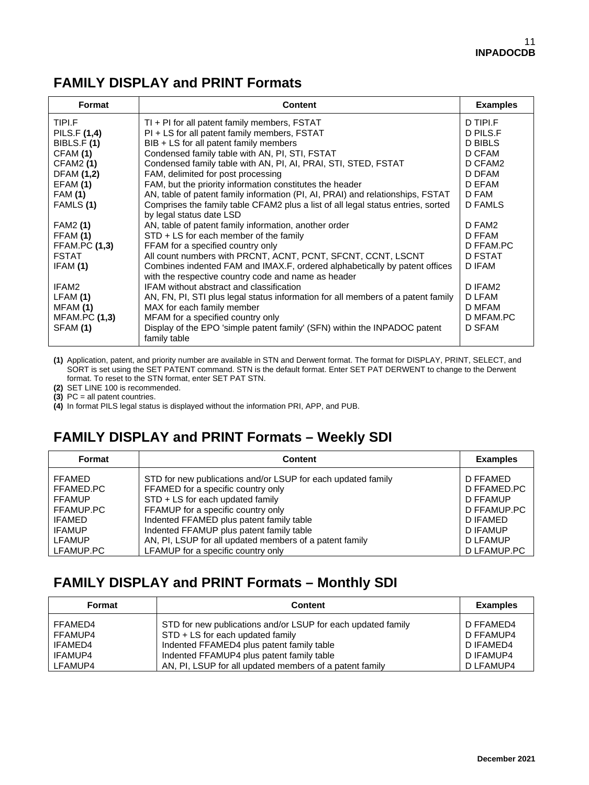#### **FAMILY DISPLAY and PRINT Formats**

| <b>Format</b>        | <b>Content</b>                                                                                                                    | <b>Examples</b> |
|----------------------|-----------------------------------------------------------------------------------------------------------------------------------|-----------------|
| TIPI.F               | TI + PI for all patent family members, FSTAT                                                                                      | D TIPI.F        |
| PILS.F (1,4)         | PI + LS for all patent family members, FSTAT                                                                                      | D PILS.F        |
| BIBLS.F(1)           | BIB + LS for all patent family members                                                                                            | <b>D BIBLS</b>  |
| CFAM (1)             | Condensed family table with AN, PI, STI, FSTAT                                                                                    | D CFAM          |
| <b>CFAM2 (1)</b>     | Condensed family table with AN, PI, AI, PRAI, STI, STED, FSTAT                                                                    | D CFAM2         |
| <b>DFAM (1,2)</b>    | FAM, delimited for post processing                                                                                                | D DFAM          |
| EFAM(1)              | FAM, but the priority information constitutes the header                                                                          | D EFAM          |
| <b>FAM (1)</b>       | AN, table of patent family information (PI, AI, PRAI) and relationships, FSTAT                                                    | D FAM           |
| FAMLS (1)            | Comprises the family table CFAM2 plus a list of all legal status entries, sorted                                                  | D FAMLS         |
|                      | by legal status date LSD                                                                                                          |                 |
| <b>FAM2 (1)</b>      | AN, table of patent family information, another order                                                                             | D FAM2          |
| FFAM (1)             | $STD + LS$ for each member of the family                                                                                          | D FFAM          |
| <b>FFAM.PC (1,3)</b> | FFAM for a specified country only                                                                                                 | D FFAM.PC       |
| <b>FSTAT</b>         | All count numbers with PRCNT, ACNT, PCNT, SFCNT, CCNT, LSCNT                                                                      | <b>D FSTAT</b>  |
| IFAM (1)             | Combines indented FAM and IMAX.F, ordered alphabetically by patent offices<br>with the respective country code and name as header | D IFAM          |
| IFAM2                | IFAM without abstract and classification                                                                                          | D IFAM2         |
| LFAM(1)              | AN, FN, PI, STI plus legal status information for all members of a patent family                                                  | D LFAM          |
| MFAM (1)             | MAX for each family member                                                                                                        | D MFAM          |
| <b>MFAM.PC (1,3)</b> | MFAM for a specified country only                                                                                                 | D MFAM.PC       |
| SFAM (1)             | Display of the EPO 'simple patent family' (SFN) within the INPADOC patent<br>family table                                         | D SFAM          |

**(1)** Application, patent, and priority number are available in STN and Derwent format. The format for DISPLAY, PRINT, SELECT, and SORT is set using the SET PATENT command. STN is the default format. Enter SET PAT DERWENT to change to the Derwent format. To reset to the STN format, enter SET PAT STN.

**(2)** SET LINE 100 is recommended.

**(3)** PC = all patent countries.

**(4)** In format PILS legal status is displayed without the information PRI, APP, and PUB.

## **FAMILY DISPLAY and PRINT Formats – Weekly SDI**

| <b>Content</b>                                                                                                                                                                                                                                                       | <b>Examples</b>                                                                               |
|----------------------------------------------------------------------------------------------------------------------------------------------------------------------------------------------------------------------------------------------------------------------|-----------------------------------------------------------------------------------------------|
| STD for new publications and/or LSUP for each updated family<br>FFAMED for a specific country only<br>STD + LS for each updated family<br>FFAMUP for a specific country only<br>Indented FFAMED plus patent family table<br>Indented FFAMUP plus patent family table | D FFAMED<br>D FFAMED.PC<br>D FFAMUP<br>D FFAMUP.PC<br>D IFAMED<br>D IFAMUP<br>D LFAMUP        |
|                                                                                                                                                                                                                                                                      | D LFAMUP.PC                                                                                   |
|                                                                                                                                                                                                                                                                      | AN, PI, LSUP for all updated members of a patent family<br>LFAMUP for a specific country only |

#### **FAMILY DISPLAY and PRINT Formats – Monthly SDI**

| Format  | <b>Content</b>                                               | <b>Examples</b> |
|---------|--------------------------------------------------------------|-----------------|
| FFAMED4 | STD for new publications and/or LSUP for each updated family | D FFAMED4       |
| FFAMUP4 | STD + LS for each updated family                             | D FFAMUP4       |
| IFAMED4 | Indented FFAMED4 plus patent family table                    | D IFAMED4       |
| IFAMUP4 | Indented FFAMUP4 plus patent family table                    | D IFAMUP4       |
| LFAMUP4 | AN, PI, LSUP for all updated members of a patent family      | D LFAMUP4       |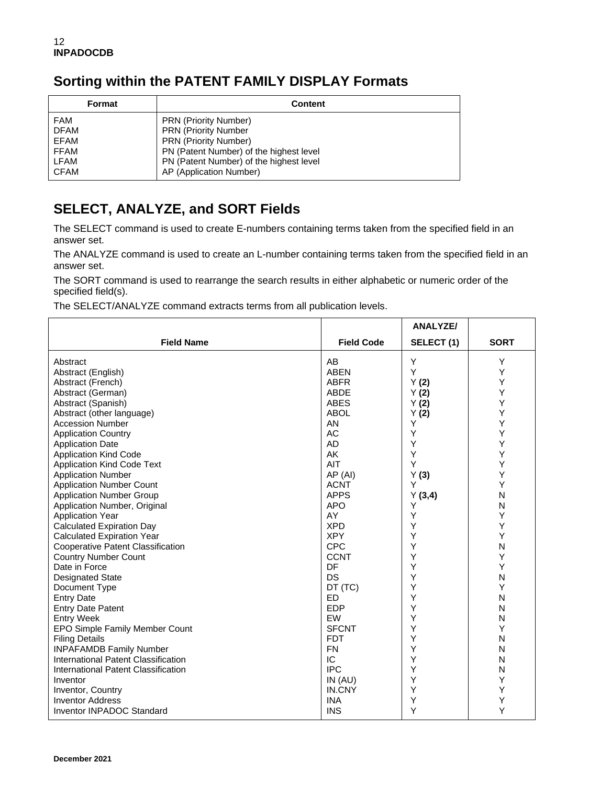# **Sorting within the PATENT FAMILY DISPLAY Formats**

| <b>Format</b> | <b>Content</b>                          |
|---------------|-----------------------------------------|
| FAM           | <b>PRN</b> (Priority Number)            |
| <b>DFAM</b>   | <b>PRN (Priority Number</b>             |
| EFAM          | <b>PRN (Priority Number)</b>            |
| <b>FFAM</b>   | PN (Patent Number) of the highest level |
| LFAM          | PN (Patent Number) of the highest level |
| <b>CFAM</b>   | AP (Application Number)                 |

### **SELECT, ANALYZE, and SORT Fields**

The SELECT command is used to create E-numbers containing terms taken from the specified field in an answer set.

The ANALYZE command is used to create an L-number containing terms taken from the specified field in an answer set.

The SORT command is used to rearrange the search results in either alphabetic or numeric order of the specified field(s).

The SELECT/ANALYZE command extracts terms from all publication levels.

|                                                         |                            | <b>ANALYZE/</b> |             |
|---------------------------------------------------------|----------------------------|-----------------|-------------|
| <b>Field Name</b>                                       | <b>Field Code</b>          | SELECT(1)       | <b>SORT</b> |
| Abstract                                                | AB                         | Y               | Υ           |
| Abstract (English)                                      | <b>ABEN</b>                | Y               | Υ           |
| Abstract (French)                                       | <b>ABFR</b>                | Y(2)            | Υ           |
| Abstract (German)                                       | <b>ABDE</b>                | Y(2)            | Υ           |
| Abstract (Spanish)                                      | <b>ABES</b>                | Y(2)            | Υ           |
| Abstract (other language)                               | <b>ABOL</b>                | Y(2)            | Y           |
| <b>Accession Number</b>                                 | AN                         | Υ               | Y           |
| <b>Application Country</b>                              | <b>AC</b>                  | Υ               | Υ           |
| <b>Application Date</b>                                 | AD                         | Υ               | Y           |
| <b>Application Kind Code</b>                            | AK                         | Υ               | Y           |
| <b>Application Kind Code Text</b>                       | AIT                        | Y               | Υ           |
| <b>Application Number</b>                               | AP (AI)                    | Y(3)            | Y           |
| <b>Application Number Count</b>                         | <b>ACNT</b>                | Y               | Y           |
| <b>Application Number Group</b>                         | <b>APPS</b>                | Y(3,4)          | N           |
| Application Number, Original                            | <b>APO</b>                 | Υ               | N           |
| <b>Application Year</b>                                 | AY                         | Y               | Υ           |
| <b>Calculated Expiration Day</b>                        | <b>XPD</b>                 | Υ               | Υ           |
| <b>Calculated Expiration Year</b>                       | <b>XPY</b>                 | Y               | Y           |
| <b>Cooperative Patent Classification</b>                | <b>CPC</b>                 | Υ               | N           |
| <b>Country Number Count</b>                             | <b>CCNT</b>                | Υ               | Y           |
| Date in Force                                           | DF                         | Υ               | Y           |
| <b>Designated State</b>                                 | DS                         | Y               | N           |
| Document Type                                           | DT (TC)                    | Y               | Y           |
| <b>Entry Date</b>                                       | ED                         | Y               | N           |
| <b>Entry Date Patent</b>                                | <b>EDP</b>                 | Y               | N           |
| <b>Entry Week</b>                                       | EW                         | Υ<br>Y          | N<br>Υ      |
| EPO Simple Family Member Count                          | <b>SFCNT</b><br><b>FDT</b> | Υ               | N           |
| <b>Filing Details</b><br><b>INPAFAMDB Family Number</b> | <b>FN</b>                  | Υ               | N           |
| International Patent Classification                     | IC                         | Υ               | N           |
| International Patent Classification                     | <b>IPC</b>                 | Υ               | N           |
| Inventor                                                | IN(AU)                     | Υ               | Y           |
| Inventor, Country                                       | IN.CNY                     | Υ               | Y           |
| <b>Inventor Address</b>                                 | <b>INA</b>                 | Υ               | Y           |
| Inventor INPADOC Standard                               | <b>INS</b>                 | Υ               | Y           |
|                                                         |                            |                 |             |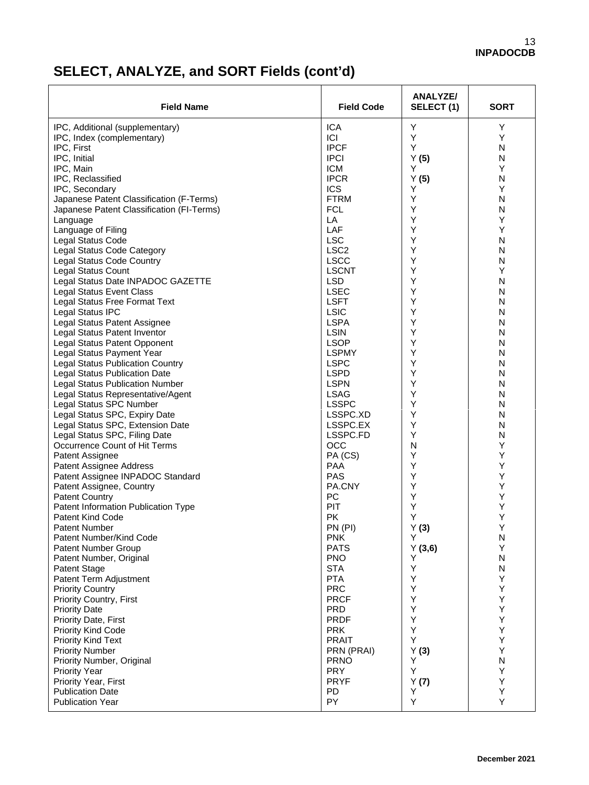# **SELECT, ANALYZE, and SORT Fields (cont'd)**

| <b>Field Name</b>                                              | <b>Field Code</b>      | ANALYZE/<br>SELECT (1) | <b>SORT</b> |
|----------------------------------------------------------------|------------------------|------------------------|-------------|
| IPC, Additional (supplementary)                                | <b>ICA</b>             | Υ                      | Υ           |
| IPC, Index (complementary)                                     | ICI                    | Υ                      | Y           |
| IPC, First                                                     | <b>IPCF</b>            | Υ                      | N           |
| IPC, Initial                                                   | <b>IPCI</b>            | Y(5)                   | N           |
| IPC, Main                                                      | <b>ICM</b>             | Y                      | Υ           |
| IPC, Reclassified                                              | <b>IPCR</b>            | Y(5)                   | N           |
| IPC, Secondary                                                 | ICS                    | Υ                      | Y           |
| Japanese Patent Classification (F-Terms)                       | <b>FTRM</b>            | Υ                      | N           |
| Japanese Patent Classification (FI-Terms)                      | <b>FCL</b>             | Y                      | N           |
| Language                                                       | LA                     | Υ                      | Υ           |
| Language of Filing                                             | LAF                    | Υ                      | Υ           |
| Legal Status Code                                              | <b>LSC</b>             | Υ                      | N           |
| Legal Status Code Category                                     | LSC <sub>2</sub>       | Υ                      | N           |
| Legal Status Code Country                                      | <b>LSCC</b>            | Υ                      | N           |
| Legal Status Count                                             | <b>LSCNT</b>           | Υ                      | Υ           |
| Legal Status Date INPADOC GAZETTE                              | <b>LSD</b>             | Υ                      | N           |
| <b>Legal Status Event Class</b>                                | <b>LSEC</b>            | Υ                      | N           |
| <b>Legal Status Free Format Text</b>                           | <b>LSFT</b>            | Υ                      | N           |
| Legal Status IPC                                               | <b>LSIC</b>            | Υ                      | N           |
| Legal Status Patent Assignee                                   | <b>LSPA</b>            | Υ                      | N           |
| Legal Status Patent Inventor                                   | <b>LSIN</b>            | Υ                      | N           |
| Legal Status Patent Opponent                                   | <b>LSOP</b>            | Υ                      | N           |
| Legal Status Payment Year                                      | <b>LSPMY</b>           | Υ                      | N           |
| <b>Legal Status Publication Country</b>                        | <b>LSPC</b>            | Υ                      | N           |
| <b>Legal Status Publication Date</b>                           | <b>LSPD</b>            | Υ                      | N           |
| <b>Legal Status Publication Number</b>                         | <b>LSPN</b>            | Υ                      | N           |
| Legal Status Representative/Agent                              | <b>LSAG</b>            | Υ                      | N           |
| Legal Status SPC Number                                        | <b>LSSPC</b>           | Υ                      | N           |
| Legal Status SPC, Expiry Date                                  | LSSPC.XD               | Υ                      | N           |
| Legal Status SPC, Extension Date                               | LSSPC.EX               | Υ<br>Y                 | N           |
| Legal Status SPC, Filing Date<br>Occurrence Count of Hit Terms | LSSPC.FD<br><b>OCC</b> | N                      | N<br>Υ      |
|                                                                | PA (CS)                | Υ                      | Υ           |
| Patent Assignee<br>Patent Assignee Address                     | PAA                    | Υ                      | Υ           |
| Patent Assignee INPADOC Standard                               | <b>PAS</b>             | Υ                      | Υ           |
| Patent Assignee, Country                                       | PA.CNY                 | Υ                      | Υ           |
| <b>Patent Country</b>                                          | PC                     | Υ                      | Υ           |
| Patent Information Publication Type                            | PIT                    | Υ                      | Υ           |
| <b>Patent Kind Code</b>                                        | PK.                    | Υ                      | Υ           |
| <b>Patent Number</b>                                           | PN (PI)                | Y(3)                   | Y           |
| Patent Number/Kind Code                                        | <b>PNK</b>             | Y                      | N           |
| Patent Number Group                                            | <b>PATS</b>            | Y(3,6)                 | Υ           |
| Patent Number, Original                                        | <b>PNO</b>             | Y                      | N           |
| Patent Stage                                                   | <b>STA</b>             | Υ                      | ${\sf N}$   |
| Patent Term Adjustment                                         | <b>PTA</b>             | Υ                      | Υ           |
| <b>Priority Country</b>                                        | <b>PRC</b>             | Υ                      | Υ           |
| Priority Country, First                                        | <b>PRCF</b>            | Υ                      | Υ           |
| <b>Priority Date</b>                                           | <b>PRD</b>             | Υ                      | Υ           |
| Priority Date, First                                           | <b>PRDF</b>            | Υ                      | Υ           |
| Priority Kind Code                                             | <b>PRK</b>             | Υ                      | Υ           |
| Priority Kind Text                                             | <b>PRAIT</b>           | Υ                      | Υ           |
| <b>Priority Number</b>                                         | PRN (PRAI)             | Y(3)                   | Υ           |
| Priority Number, Original                                      | <b>PRNO</b>            | Υ                      | ${\sf N}$   |
| <b>Priority Year</b>                                           | <b>PRY</b>             | Υ                      | Υ           |
| Priority Year, First                                           | <b>PRYF</b>            | Y(7)                   | Υ           |
| <b>Publication Date</b>                                        | <b>PD</b>              | Υ                      | Υ           |
| <b>Publication Year</b>                                        | PY                     | Υ                      | Υ           |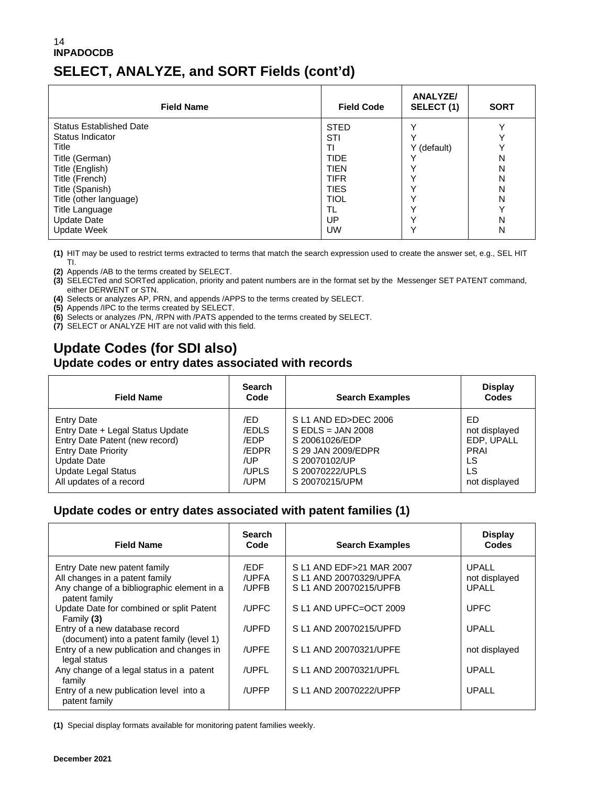#### 14 **INPADOCDB SELECT, ANALYZE, and SORT Fields (cont'd)**

| <b>Field Name</b>              | <b>Field Code</b> | <b>ANALYZE/</b><br>SELECT (1) | <b>SORT</b> |
|--------------------------------|-------------------|-------------------------------|-------------|
| <b>Status Established Date</b> | <b>STED</b>       |                               |             |
| Status Indicator               | STI               |                               |             |
| Title                          | ΤI                | Y (default)                   |             |
| Title (German)                 | <b>TIDE</b>       |                               | N           |
| Title (English)                | <b>TIEN</b>       |                               | N           |
| Title (French)                 | <b>TIFR</b>       |                               | N           |
| Title (Spanish)                | <b>TIES</b>       |                               | N           |
| Title (other language)         | <b>TIOL</b>       |                               | N           |
| <b>Title Language</b>          | TL                |                               |             |
| Update Date                    | UP                |                               | N           |
| <b>Update Week</b>             | UW                |                               | N           |

**(1)** HIT may be used to restrict terms extracted to terms that match the search expression used to create the answer set, e.g., SEL HIT TI.

**(2)** Appends /AB to the terms created by SELECT.

**(3)** SELECTed and SORTed application, priority and patent numbers are in the format set by the Messenger SET PATENT command, either DERWENT or STN.

**(4)** Selects or analyzes AP, PRN, and appends /APPS to the terms created by SELECT.

**(5)** Appends /IPC to the terms created by SELECT.

**(6)** Selects or analyzes /PN, /RPN with /PATS appended to the terms created by SELECT.

**(7)** SELECT or ANALYZE HIT are not valid with this field.

### **Update Codes (for SDI also)**

#### **Update codes or entry dates associated with records**

| <b>Field Name</b>                | <b>Search</b><br>Code | <b>Search Examples</b> | <b>Display</b><br>Codes |
|----------------------------------|-----------------------|------------------------|-------------------------|
| <b>Entry Date</b>                | /ED                   | S L1 AND ED>DEC 2006   | ED.                     |
| Entry Date + Legal Status Update | /EDLS                 | $S$ EDLS = JAN 2008    | not displayed           |
| Entry Date Patent (new record)   | /EDP                  | S 20061026/EDP         | EDP. UPALL              |
| <b>Entry Date Priority</b>       | /EDPR                 | S 29 JAN 2009/EDPR     | <b>PRAI</b>             |
| Update Date                      | /UP                   | S 20070102/UP          | LS                      |
| <b>Update Legal Status</b>       | /UPLS                 | S 20070222/UPLS        | LS                      |
| All updates of a record          | /UPM                  | S 20070215/UPM         | not displayed           |

#### **Update codes or entry dates associated with patent families (1)**

| <b>Field Name</b>                                                                                            | <b>Search</b><br>Code  | <b>Search Examples</b>                                                       | <b>Display</b><br>Codes                |
|--------------------------------------------------------------------------------------------------------------|------------------------|------------------------------------------------------------------------------|----------------------------------------|
| Entry Date new patent family<br>All changes in a patent family<br>Any change of a bibliographic element in a | /EDF<br>/UPFA<br>/UPFB | S L1 AND EDF>21 MAR 2007<br>S L1 AND 20070329/UPFA<br>S L1 AND 20070215/UPFB | <b>UPALL</b><br>not displayed<br>UPALL |
| patent family<br>Update Date for combined or split Patent<br>Family $(3)$                                    | /UPFC                  | S L1 AND UPFC=OCT 2009                                                       | <b>UPFC</b>                            |
| Entry of a new database record<br>(document) into a patent family (level 1)                                  | /UPFD                  | S L1 AND 20070215/UPFD                                                       | <b>UPALL</b>                           |
| Entry of a new publication and changes in<br>legal status                                                    | /UPFE                  | S L1 AND 20070321/UPFE                                                       | not displayed                          |
| Any change of a legal status in a patent<br>family                                                           | /UPFL                  | S L1 AND 20070321/UPFL                                                       | UPALL                                  |
| Entry of a new publication level into a<br>patent family                                                     | /UPFP                  | S L1 AND 20070222/UPFP                                                       | UPALL                                  |

**(1)** Special display formats available for monitoring patent families weekly.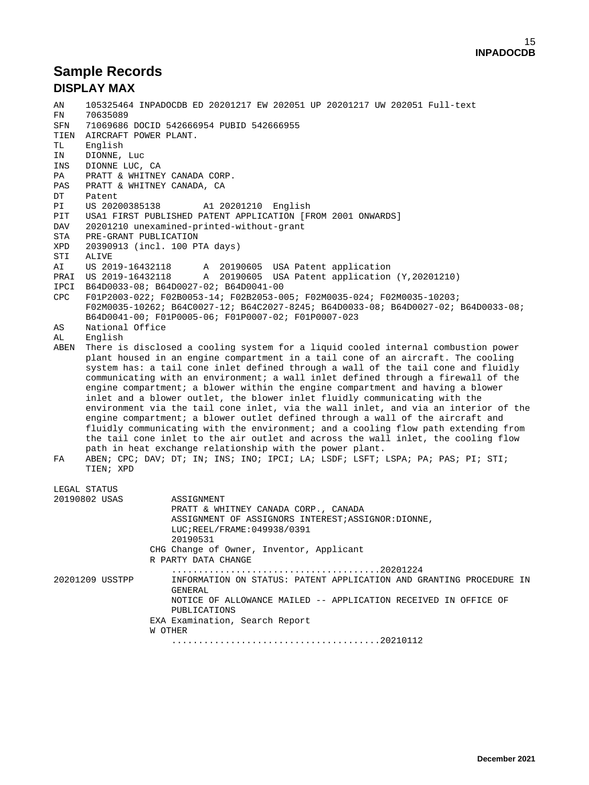#### **Sample Records DISPLAY MAX**

AN 105325464 INPADOCDB ED 20201217 EW 202051 UP 20201217 UW 202051 Full-text FN 70635089<br>SFN 71069686 71069686 DOCID 542666954 PUBID 542666955 TIEN AIRCRAFT POWER PLANT.<br>TL English TL English<br>IN DIONNE DIONNE, Luc INS DIONNE LUC, CA<br>PA PRATT & WHITNEY PA PRATT & WHITNEY CANADA CORP.<br>PAS PRATT & WHITNEY CANADA. CA PAS PRATT & WHITNEY CANADA, CA<br>DT Patent DT Patent<br>PI US 20200385138 PI US 20200385138 A1 20201210 English<br>PIT USA1 FIRST PUBLISHED PATENT APPLICATION [F] PIT USA1 FIRST PUBLISHED PATENT APPLICATION [FROM 2001 ONWARDS]<br>DAV 20201210 unexamined-printed-without-grant DAV 20201210 unexamined-printed-without-grant<br>STA PRE-GRANT PUBLICATION STA PRE-GRANT PUBLICATION<br>XPD 20390913 (incl. 100 P) XPD 20390913 (incl. 100 PTA days) STI ALIVE<br>AI US 2019-16432118 AI US 2019-16432118 A 20190605 USA Patent application PRAI US 2019-16432118 A 20190605 USA Patent application (Y,20201210) IPCI B64D0033-08; B64D0027-02; B64D0041-00 CPC F01P2003-022; F02B0053-14; F02B2053-005; F02M0035-024; F02M0035-10203; F02M0035-10262; B64C0027-12; B64C2027-8245; B64D0033-08; B64D0027-02; B64D0033-08; B64D0041-00; F01P0005-06; F01P0007-02; F01P0007-023<br>AS National Office AS National Office<br>AL English English ABEN There is disclosed a cooling system for a liquid cooled internal combustion power plant housed in an engine compartment in a tail cone of an aircraft. The cooling system has: a tail cone inlet defined through a wall of the tail cone and fluidly communicating with an environment; a wall inlet defined through a firewall of the engine compartment; a blower within the engine compartment and having a blower inlet and a blower outlet, the blower inlet fluidly communicating with the environment via the tail cone inlet, via the wall inlet, and via an interior of the engine compartment; a blower outlet defined through a wall of the aircraft and fluidly communicating with the environment; and a cooling flow path extending from the tail cone inlet to the air outlet and across the wall inlet, the cooling flow path in heat exchange relationship with the power plant.<br>FA ABEN: CPC: DAV: DT: IN: INS: INO: IPCI: LA: LSDF: LSFT: FA ABEN; CPC; DAV; DT; IN; INS; INO; IPCI; LA; LSDF; LSFT; LSPA; PA; PAS; PI; STI; TIEN; XPD LEGAL STATUS<br>20190802 USAS ASSIGNMENT PRATT & WHITNEY CANADA CORP., CANADA ASSIGNMENT OF ASSIGNORS INTEREST;ASSIGNOR:DIONNE, LUC;REEL/FRAME:049938/0391 20190531 CHG Change of Owner, Inventor, Applicant R PARTY DATA CHANGE .......................................20201224 INFORMATION ON STATUS: PATENT APPLICATION AND GRANTING PROCEDURE IN GENERAL NOTICE OF ALLOWANCE MAILED -- APPLICATION RECEIVED IN OFFICE OF PUBLICATIONS EXA Examination, Search Report W OTHER .......................................20210112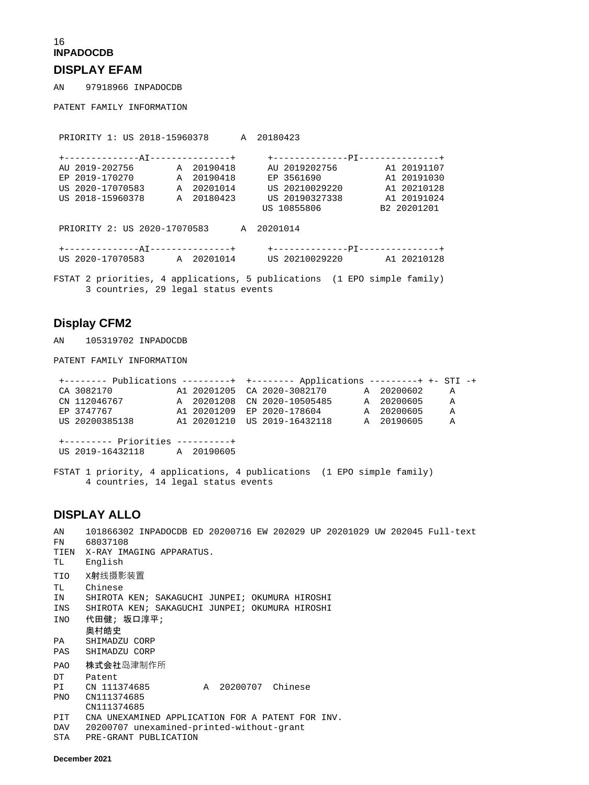### 16 **INPADOCDB**

#### **DISPLAY EFAM**

AN 97918966 INPADOCDB

PATENT FAMILY INFORMATION

| PRIORITY 1: US 2018-15960378 A 20180423 |  |            |                                                                                                                                     |             |
|-----------------------------------------|--|------------|-------------------------------------------------------------------------------------------------------------------------------------|-------------|
|                                         |  |            |                                                                                                                                     |             |
| AU 2019-202756 A 20190418               |  |            | AU 2019202756 A1 20191107                                                                                                           |             |
| EP 2019-170270 A 20190418               |  |            | EP 3561690                                                                                                                          | A1 20191030 |
| US 2020-17070583                        |  | A 20201014 | US 20210029220                                                                                                                      | A1 20210128 |
| US 2018-15960378 A 20180423             |  |            | US 20190327338                                                                                                                      | A1 20191024 |
|                                         |  |            | US 10855806                                                                                                                         | B2 20201201 |
| PRIORITY 2: US 2020-17070583 A 20201014 |  |            |                                                                                                                                     |             |
|                                         |  |            | +--------------AI---------------+    +----------------PI----------------+<br>US 2020-17070583 A 20201014 US 20210029220 A1 20210128 |             |

FSTAT 2 priorities, 4 applications, 5 publications (1 EPO simple family) 3 countries, 29 legal status events

#### **Display CFM2**

AN 105319702 INPADOCDB

PATENT FAMILY INFORMATION

| +-------- Publications ---------+ +-------- Applications ---------+ +- STI -+ |  |                                        |            |              |  |
|-------------------------------------------------------------------------------|--|----------------------------------------|------------|--------------|--|
| CA 3082170                                                                    |  | A1 20201205 CA 2020-3082170 A 20200602 |            | A            |  |
| CN 112046767                                                                  |  | A 20201208 CN 2020-10505485 A 20200605 |            | $\mathbb{A}$ |  |
| EP 3747767                                                                    |  | A1 20201209 EP 2020-178604 A 20200605  |            | A            |  |
| US 20200385138                                                                |  | A1 20201210 US 2019-16432118           | A 20190605 | $\Delta$     |  |
|                                                                               |  |                                        |            |              |  |
| +--------- Priorities ----------+                                             |  |                                        |            |              |  |
| US 2019-16432118 A 20190605                                                   |  |                                        |            |              |  |

FSTAT 1 priority, 4 applications, 4 publications (1 EPO simple family) 4 countries, 14 legal status events

#### **DISPLAY ALLO**

AN 101866302 INPADOCDB ED 20200716 EW 202029 UP 20201029 UW 202045 Full-text 68037108 TIEN X-RAY IMAGING APPARATUS.<br>TL English English TIO X射线摄影装置 TL Chinese<br>IN SHIROTA SHIROTA KEN; SAKAGUCHI JUNPEI; OKUMURA HIROSHI INS SHIROTA KEN; SAKAGUCHI JUNPEI; OKUMURA HIROSHI INO 代田健; 坂口淳平; 奥村皓史<br>PA SHIMADZ SHIMADZU CORP PAS SHIMADZU CORP PAO 株式会社岛津制作所 DT Patent<br>PI CN 111374685 A 20200707 Chinese PNO CN111374685 CN111374685<br>PIT CNA UNEXAMI PIT CNA UNEXAMINED APPLICATION FOR A PATENT FOR INV.<br>DAV 20200707 unexamined-printed-without-grant DAV 20200707 unexamined-printed-without-grant<br>STA PRE-GRANT PUBLICATION PRE-GRANT PUBLICATION

**December 2021**